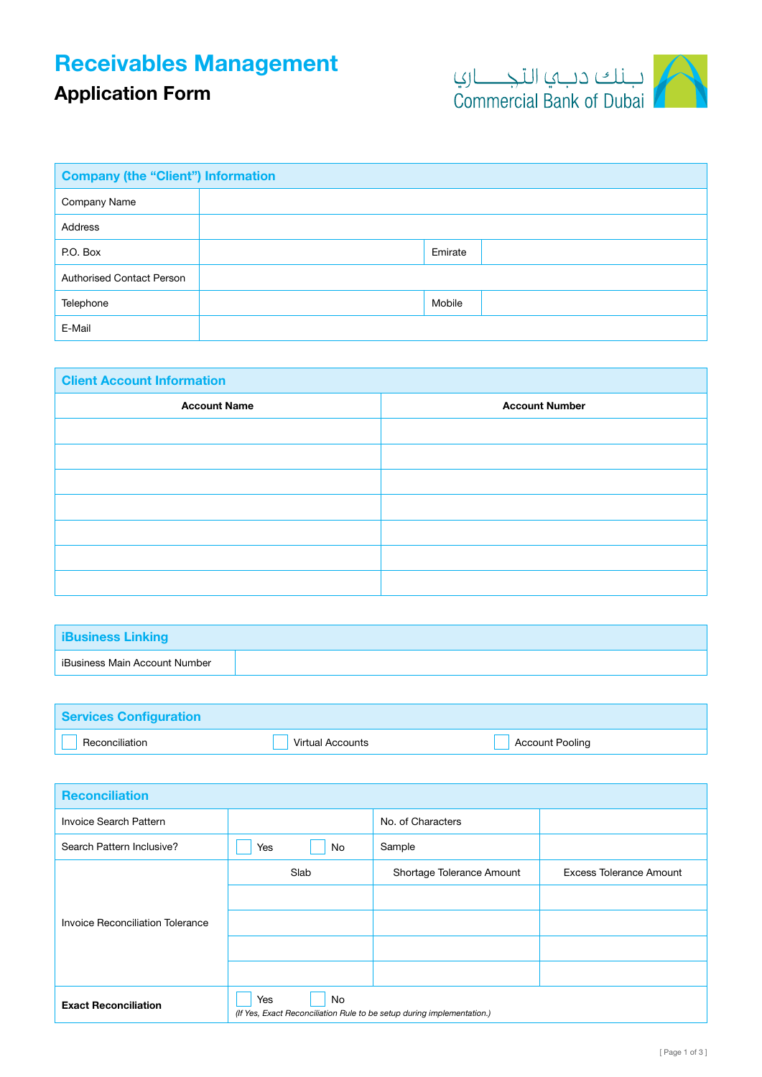## Receivables Management

## Application Form



| <b>Company (the "Client") Information</b> |  |         |  |
|-------------------------------------------|--|---------|--|
| Company Name                              |  |         |  |
| <b>Address</b>                            |  |         |  |
| P.O. Box                                  |  | Emirate |  |
| <b>Authorised Contact Person</b>          |  |         |  |
| Telephone                                 |  | Mobile  |  |
| E-Mail                                    |  |         |  |

| <b>Client Account Information</b> |                       |  |  |
|-----------------------------------|-----------------------|--|--|
| <b>Account Name</b>               | <b>Account Number</b> |  |  |
|                                   |                       |  |  |
|                                   |                       |  |  |
|                                   |                       |  |  |
|                                   |                       |  |  |
|                                   |                       |  |  |
|                                   |                       |  |  |
|                                   |                       |  |  |

| <b>iBusiness Linking</b>      |  |
|-------------------------------|--|
| iBusiness Main Account Number |  |

| <b>Services Configuration</b> |                         |                        |
|-------------------------------|-------------------------|------------------------|
| Reconciliation                | <b>Virtual Accounts</b> | <b>Account Pooling</b> |

| <b>Reconciliation</b>            |                                                                                     |                           |                                |
|----------------------------------|-------------------------------------------------------------------------------------|---------------------------|--------------------------------|
| Invoice Search Pattern           |                                                                                     | No. of Characters         |                                |
| Search Pattern Inclusive?        | <b>No</b><br>Yes                                                                    | Sample                    |                                |
|                                  | Slab                                                                                | Shortage Tolerance Amount | <b>Excess Tolerance Amount</b> |
|                                  |                                                                                     |                           |                                |
| Invoice Reconciliation Tolerance |                                                                                     |                           |                                |
|                                  |                                                                                     |                           |                                |
|                                  |                                                                                     |                           |                                |
| <b>Exact Reconciliation</b>      | No<br>Yes<br>(If Yes, Exact Reconciliation Rule to be setup during implementation.) |                           |                                |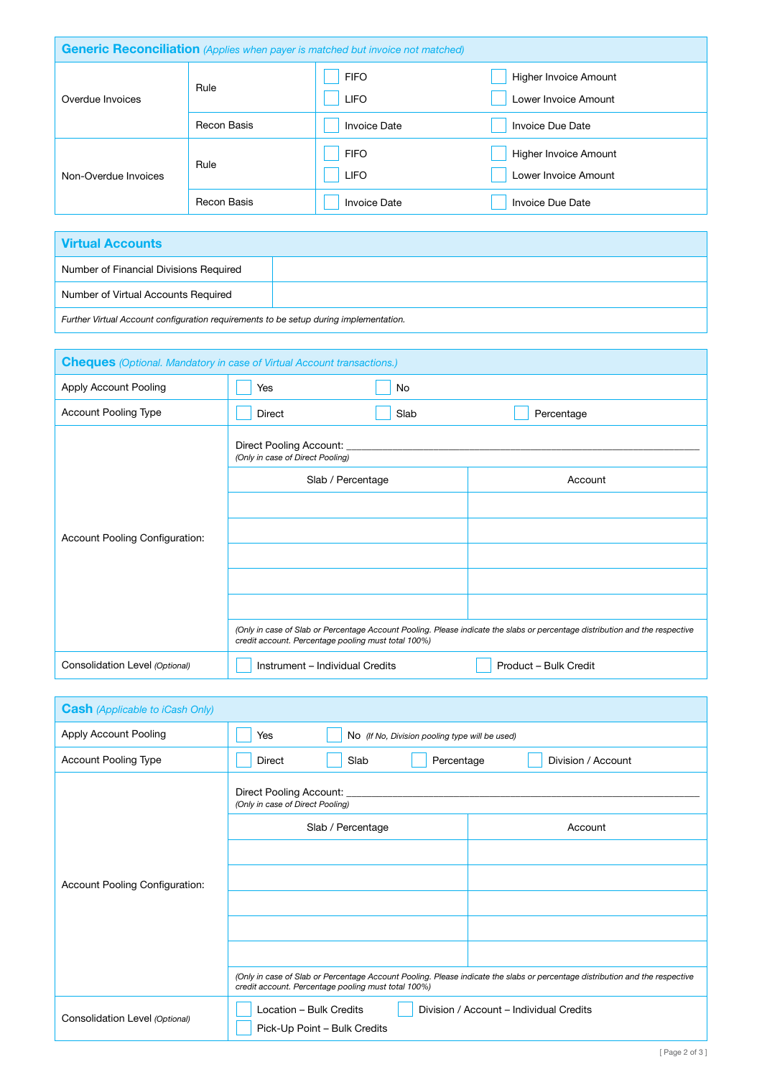| <b>Generic Reconciliation</b> (Applies when payer is matched but invoice not matched) |             |                            |                                               |  |
|---------------------------------------------------------------------------------------|-------------|----------------------------|-----------------------------------------------|--|
| Overdue Invoices                                                                      | Rule        | <b>FIFO</b><br><b>LIFO</b> | Higher Invoice Amount<br>Lower Invoice Amount |  |
|                                                                                       | Recon Basis | Invoice Date               | Invoice Due Date                              |  |
| Non-Overdue Invoices                                                                  | Rule        | <b>FIFO</b><br><b>LIFO</b> | Higher Invoice Amount<br>Lower Invoice Amount |  |
|                                                                                       | Recon Basis | <b>Invoice Date</b>        | Invoice Due Date                              |  |

| <b>Virtual Accounts</b>                                                               |  |  |
|---------------------------------------------------------------------------------------|--|--|
| Number of Financial Divisions Required                                                |  |  |
| Number of Virtual Accounts Required                                                   |  |  |
| Further Virtual Account configuration requirements to be setup during implementation. |  |  |

| <b>Cheques</b> (Optional. Mandatory in case of Virtual Account transactions.) |                                                               |      |                                                                                                                              |  |
|-------------------------------------------------------------------------------|---------------------------------------------------------------|------|------------------------------------------------------------------------------------------------------------------------------|--|
| Apply Account Pooling                                                         | Yes                                                           | No   |                                                                                                                              |  |
| Account Pooling Type                                                          | Direct                                                        | Slab | Percentage                                                                                                                   |  |
|                                                                               | Direct Pooling Account: _<br>(Only in case of Direct Pooling) |      |                                                                                                                              |  |
|                                                                               | Slab / Percentage                                             |      | Account                                                                                                                      |  |
|                                                                               |                                                               |      |                                                                                                                              |  |
| Account Pooling Configuration:                                                |                                                               |      |                                                                                                                              |  |
|                                                                               |                                                               |      |                                                                                                                              |  |
|                                                                               |                                                               |      |                                                                                                                              |  |
|                                                                               |                                                               |      |                                                                                                                              |  |
|                                                                               | credit account. Percentage pooling must total 100%)           |      | (Only in case of Slab or Percentage Account Pooling. Please indicate the slabs or percentage distribution and the respective |  |
| Consolidation Level (Optional)                                                | Instrument - Individual Credits                               |      | Product - Bulk Credit                                                                                                        |  |

| <b>Cash</b> (Applicable to iCash Only) |                                                                                                                                                                                     |                    |  |  |
|----------------------------------------|-------------------------------------------------------------------------------------------------------------------------------------------------------------------------------------|--------------------|--|--|
| Apply Account Pooling                  | Yes<br>No (If No, Division pooling type will be used)                                                                                                                               |                    |  |  |
| Account Pooling Type                   | Slab<br>Percentage<br><b>Direct</b>                                                                                                                                                 | Division / Account |  |  |
|                                        | Direct Pooling Account:<br>(Only in case of Direct Pooling)                                                                                                                         |                    |  |  |
|                                        | Slab / Percentage                                                                                                                                                                   | Account            |  |  |
|                                        |                                                                                                                                                                                     |                    |  |  |
| Account Pooling Configuration:         |                                                                                                                                                                                     |                    |  |  |
|                                        |                                                                                                                                                                                     |                    |  |  |
|                                        |                                                                                                                                                                                     |                    |  |  |
|                                        |                                                                                                                                                                                     |                    |  |  |
|                                        | (Only in case of Slab or Percentage Account Pooling. Please indicate the slabs or percentage distribution and the respective<br>credit account. Percentage pooling must total 100%) |                    |  |  |
| Consolidation Level (Optional)         | Location - Bulk Credits<br>Division / Account - Individual Credits<br>Pick-Up Point - Bulk Credits                                                                                  |                    |  |  |